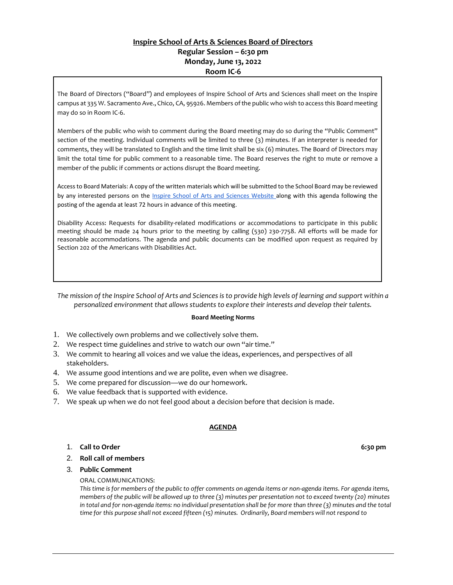## **Inspire School of Arts & Sciences Board of Directors Regular Session – 6:30 pm Monday, June 13, 2022 Room IC-6**

The Board of Directors ("Board") and employees of Inspire School of Arts and Sciences shall meet on the Inspire campus at 335 W. Sacramento Ave., Chico, CA, 95926. Members of the public who wish to access this Board meeting may do so in Room IC-6.

Members of the public who wish to comment during the Board meeting may do so during the "Public Comment" section of the meeting. Individual comments will be limited to three (3) minutes. If an interpreter is needed for comments, they will be translated to English and the time limit shall be six (6) minutes. The Board of Directors may limit the total time for public comment to a reasonable time. The Board reserves the right to mute or remove a member of the public if comments or actions disrupt the Board meeting.

Access to Board Materials: A copy of the written materials which will be submitted to the School Board may be reviewed by any interested persons on the [Inspire School of Arts and Sciences Website a](https://www.inspirechico.org/our-board/#board-agenda)long with this agenda following the posting of the agenda at least 72 hours in advance of this meeting.

Disability Access: Requests for disability-related modifications or accommodations to participate in this public meeting should be made 24 hours prior to the meeting by calling (530) 230-7758. All efforts will be made for reasonable accommodations. The agenda and public documents can be modified upon request as required by Section 202 of the Americans with Disabilities Act.

*The mission of the Inspire School of Arts and Sciences is to provide high levels of learning and support within a personalized environment that allows students to explore their interests and develop their talents.*

#### **Board Meeting Norms**

- 1. We collectively own problems and we collectively solve them.
- 2. We respect time guidelines and strive to watch our own "air time."
- 3. We commit to hearing all voices and we value the ideas, experiences, and perspectives of all stakeholders.
- 4. We assume good intentions and we are polite, even when we disagree.
- 5. We come prepared for discussion—we do our homework.
- 6. We value feedback that is supported with evidence.
- 7. We speak up when we do not feel good about a decision before that decision is made.

## **AGENDA**

#### 1. **Call to Order 6:30 pm**

#### 2. **Roll call of members**

#### 3. **Public Comment**

ORAL COMMUNICATIONS:

*This time is for members of the public to offer comments on agenda items or non-agenda items. For agenda items, members of the public will be allowed up to three (3) minutes per presentation not to exceed twenty (20) minutes in total and for non-agenda items: no individual presentation shall be for more than three (3) minutes and the total time for this purpose shall not exceed fifteen (15) minutes. Ordinarily, Board members will not respond to*